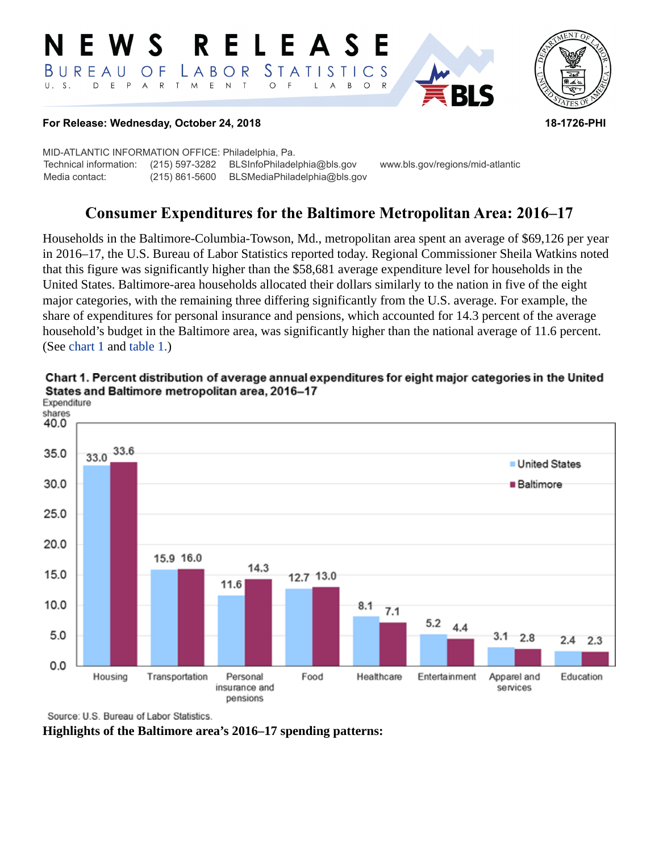#### RELEASE E W S *STATISTICS* BUREAU  $\overline{O}$  F LABOR D E P A R T M E N T  $\circ$  $U. S.$  $F$  $\mathsf{L}$  $\overline{A}$  $B$  $\circ$  $\mathsf{R}$



# **For Release: Wednesday, October 24, 2018 18-1726-PHI**

MID-ATLANTIC INFORMATION OFFICE: Philadelphia, Pa. Technical information: (215) 597-3282 BLSInfoPhiladelphia@bls.gov www.bls.gov/regions/mid-atlantic Media contact: (215) 861-5600 BLSMediaPhiladelphia@bls.gov

# **Consumer Expenditures for the Baltimore Metropolitan Area: 2016–17**

Households in the Baltimore-Columbia-Towson, Md., metropolitan area spent an average of \$69,126 per year in 2016–17, the U.S. Bureau of Labor Statistics reported today. Regional Commissioner Sheila Watkins noted that this figure was significantly higher than the \$58,681 average expenditure level for households in the United States. Baltimore-area households allocated their dollars similarly to the nation in five of the eight major categories, with the remaining three differing significantly from the U.S. average. For example, the share of expenditures for personal insurance and pensions, which accounted for 14.3 percent of the average household's budget in the Baltimore area, was significantly higher than the national average of 11.6 percent. (See [chart 1](#page-0-0) and [table 1.\)](#page-3-0)



<span id="page-0-0"></span>Chart 1. Percent distribution of average annual expenditures for eight major categories in the United States and Baltimore metropolitan area, 2016-17

Source: U.S. Bureau of Labor Statistics.

**Highlights of the Baltimore area's 2016–17 spending patterns:**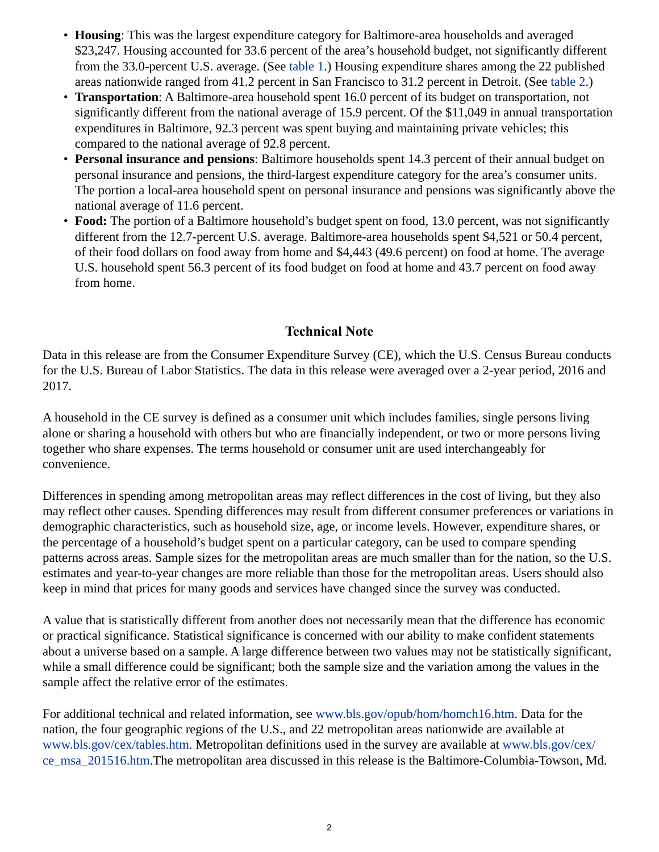- **Housing**: This was the largest expenditure category for Baltimore-area households and averaged \$23,247. Housing accounted for 33.6 percent of the area's household budget, not significantly different from the 33.0-percent U.S. average. (See [table 1](#page-3-0).) Housing expenditure shares among the 22 published areas nationwide ranged from 41.2 percent in San Francisco to 31.2 percent in Detroit. (See [table 2](#page-4-0).)
- **Transportation**: A Baltimore-area household spent 16.0 percent of its budget on transportation, not significantly different from the national average of 15.9 percent. Of the \$11,049 in annual transportation expenditures in Baltimore, 92.3 percent was spent buying and maintaining private vehicles; this compared to the national average of 92.8 percent.
- **Personal insurance and pensions**: Baltimore households spent 14.3 percent of their annual budget on personal insurance and pensions, the third-largest expenditure category for the area's consumer units. The portion a local-area household spent on personal insurance and pensions was significantly above the national average of 11.6 percent.
- **Food:** The portion of a Baltimore household's budget spent on food, 13.0 percent, was not significantly different from the 12.7-percent U.S. average. Baltimore-area households spent \$4,521 or 50.4 percent, of their food dollars on food away from home and \$4,443 (49.6 percent) on food at home. The average U.S. household spent 56.3 percent of its food budget on food at home and 43.7 percent on food away from home.

# **Technical Note**

Data in this release are from the Consumer Expenditure Survey (CE), which the U.S. Census Bureau conducts for the U.S. Bureau of Labor Statistics. The data in this release were averaged over a 2-year period, 2016 and 2017.

A household in the CE survey is defined as a consumer unit which includes families, single persons living alone or sharing a household with others but who are financially independent, or two or more persons living together who share expenses. The terms household or consumer unit are used interchangeably for convenience.

Differences in spending among metropolitan areas may reflect differences in the cost of living, but they also may reflect other causes. Spending differences may result from different consumer preferences or variations in demographic characteristics, such as household size, age, or income levels. However, expenditure shares, or the percentage of a household's budget spent on a particular category, can be used to compare spending patterns across areas. Sample sizes for the metropolitan areas are much smaller than for the nation, so the U.S. estimates and year-to-year changes are more reliable than those for the metropolitan areas. Users should also keep in mind that prices for many goods and services have changed since the survey was conducted.

A value that is statistically different from another does not necessarily mean that the difference has economic or practical significance. Statistical significance is concerned with our ability to make confident statements about a universe based on a sample. A large difference between two values may not be statistically significant, while a small difference could be significant; both the sample size and the variation among the values in the sample affect the relative error of the estimates.

For additional technical and related information, see [www.bls.gov/opub/hom/homch16.htm](https://www.bls.gov/opub/hom/homch16.htm). Data for the nation, the four geographic regions of the U.S., and 22 metropolitan areas nationwide are available at [www.bls.gov/cex/tables.htm.](https://www.bls.gov/cex/tables.htm) Metropolitan definitions used in the survey are available at [www.bls.gov/cex/](https://www.bls.gov/cex/ce_msa_201516.htm) [ce\\_msa\\_201516.htm](https://www.bls.gov/cex/ce_msa_201516.htm).The metropolitan area discussed in this release is the Baltimore-Columbia-Towson, Md.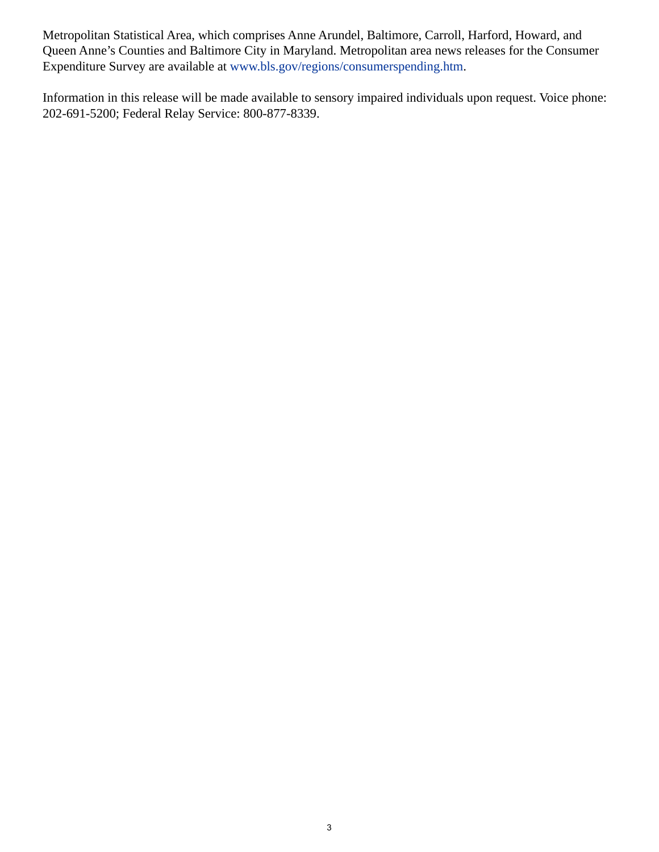Metropolitan Statistical Area, which comprises Anne Arundel, Baltimore, Carroll, Harford, Howard, and Queen Anne's Counties and Baltimore City in Maryland. Metropolitan area news releases for the Consumer Expenditure Survey are available at [www.bls.gov/regions/consumerspending.htm.](https://www.bls.gov/regions/consumerspending.htm)

Information in this release will be made available to sensory impaired individuals upon request. Voice phone: 202-691-5200; Federal Relay Service: 800-877-8339.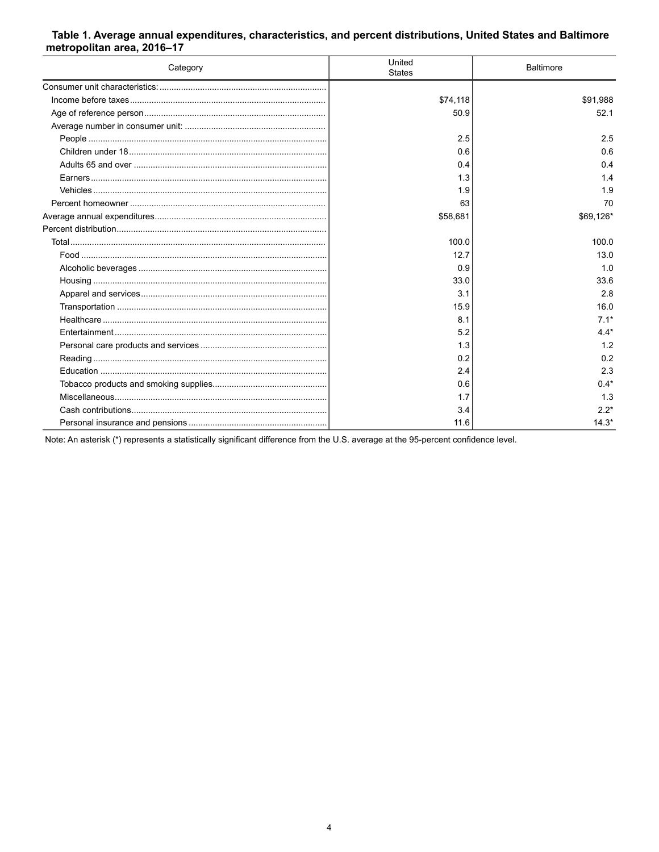## <span id="page-3-0"></span>Table 1. Average annual expenditures, characteristics, and percent distributions, United States and Baltimore metropolitan area, 2016-17

| Category | United<br><b>States</b> | <b>Baltimore</b> |
|----------|-------------------------|------------------|
|          |                         |                  |
|          | \$74,118                | \$91,988         |
|          | 50.9                    | 52.1             |
|          |                         |                  |
|          | 2.5                     | 2.5              |
|          | 0.6                     | 0.6              |
|          | 0.4                     | 0.4              |
|          | 1.3                     | 1.4              |
|          | 1.9                     | 1.9              |
|          | 63                      | 70               |
|          | \$58,681                | \$69,126*        |
|          |                         |                  |
|          | 100.0                   | 100.0            |
|          | 12.7                    | 13.0             |
|          | 0.9                     | 1.0              |
|          | 33.0                    | 33.6             |
|          | 3.1                     | 2.8              |
|          | 15.9                    | 16.0             |
|          | 8.1                     | $7.1*$           |
|          | 5.2                     | $4.4*$           |
|          | 1.3                     | 1.2              |
|          | 0.2                     | 0.2              |
|          | 2.4                     | 2.3              |
|          | 0.6                     | $0.4*$           |
|          | 1.7                     | 1.3              |
|          | 3.4                     | $2.2*$           |
|          | 11.6                    | $14.3*$          |

Note: An asterisk (\*) represents a statistically significant difference from the U.S. average at the 95-percent confidence level.